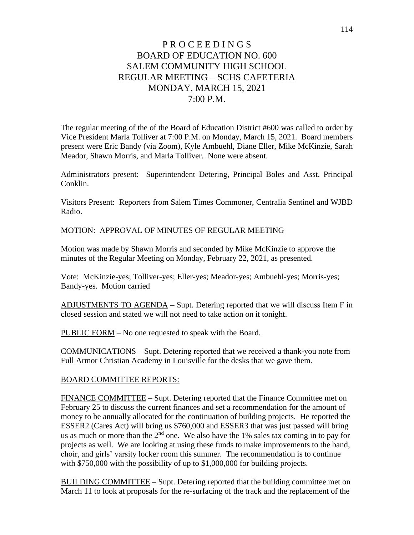# P R O C E E D I N G S BOARD OF EDUCATION NO. 600 SALEM COMMUNITY HIGH SCHOOL REGULAR MEETING – SCHS CAFETERIA MONDAY, MARCH 15, 2021 7:00 P.M.

The regular meeting of the of the Board of Education District #600 was called to order by Vice President Marla Tolliver at 7:00 P.M. on Monday, March 15, 2021. Board members present were Eric Bandy (via Zoom), Kyle Ambuehl, Diane Eller, Mike McKinzie, Sarah Meador, Shawn Morris, and Marla Tolliver. None were absent.

Administrators present: Superintendent Detering, Principal Boles and Asst. Principal Conklin.

Visitors Present: Reporters from Salem Times Commoner, Centralia Sentinel and WJBD Radio.

### MOTION: APPROVAL OF MINUTES OF REGULAR MEETING

Motion was made by Shawn Morris and seconded by Mike McKinzie to approve the minutes of the Regular Meeting on Monday, February 22, 2021, as presented.

Vote: McKinzie-yes; Tolliver-yes; Eller-yes; Meador-yes; Ambuehl-yes; Morris-yes; Bandy-yes. Motion carried

ADJUSTMENTS TO AGENDA – Supt. Detering reported that we will discuss Item F in closed session and stated we will not need to take action on it tonight.

PUBLIC FORM – No one requested to speak with the Board.

COMMUNICATIONS – Supt. Detering reported that we received a thank-you note from Full Armor Christian Academy in Louisville for the desks that we gave them.

### BOARD COMMITTEE REPORTS:

FINANCE COMMITTEE – Supt. Detering reported that the Finance Committee met on February 25 to discuss the current finances and set a recommendation for the amount of money to be annually allocated for the continuation of building projects. He reported the ESSER2 (Cares Act) will bring us \$760,000 and ESSER3 that was just passed will bring us as much or more than the  $2<sup>nd</sup>$  one. We also have the 1% sales tax coming in to pay for projects as well. We are looking at using these funds to make improvements to the band, choir, and girls' varsity locker room this summer. The recommendation is to continue with \$750,000 with the possibility of up to \$1,000,000 for building projects.

BUILDING COMMITTEE – Supt. Detering reported that the building committee met on March 11 to look at proposals for the re-surfacing of the track and the replacement of the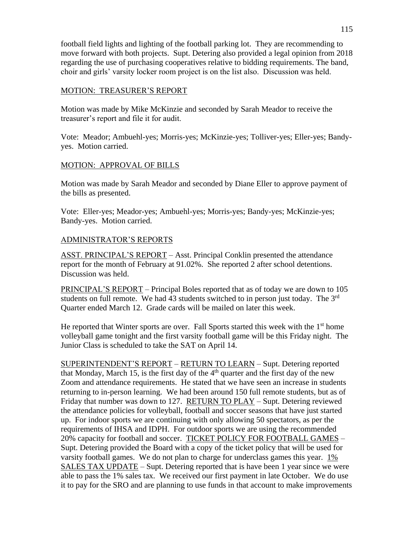football field lights and lighting of the football parking lot. They are recommending to move forward with both projects. Supt. Detering also provided a legal opinion from 2018 regarding the use of purchasing cooperatives relative to bidding requirements. The band, choir and girls' varsity locker room project is on the list also. Discussion was held.

#### MOTION: TREASURER'S REPORT

Motion was made by Mike McKinzie and seconded by Sarah Meador to receive the treasurer's report and file it for audit.

Vote: Meador; Ambuehl-yes; Morris-yes; McKinzie-yes; Tolliver-yes; Eller-yes; Bandyyes. Motion carried.

### MOTION: APPROVAL OF BILLS

Motion was made by Sarah Meador and seconded by Diane Eller to approve payment of the bills as presented.

Vote: Eller-yes; Meador-yes; Ambuehl-yes; Morris-yes; Bandy-yes; McKinzie-yes; Bandy-yes. Motion carried.

## ADMINISTRATOR'S REPORTS

ASST. PRINCIPAL'S REPORT – Asst. Principal Conklin presented the attendance report for the month of February at 91.02%. She reported 2 after school detentions. Discussion was held.

PRINCIPAL'S REPORT – Principal Boles reported that as of today we are down to 105 students on full remote. We had 43 students switched to in person just today. The  $3<sup>rd</sup>$ Quarter ended March 12. Grade cards will be mailed on later this week.

He reported that Winter sports are over. Fall Sports started this week with the  $1<sup>st</sup>$  home volleyball game tonight and the first varsity football game will be this Friday night. The Junior Class is scheduled to take the SAT on April 14.

SUPERINTENDENT'S REPORT – RETURN TO LEARN – Supt. Detering reported that Monday, March 15, is the first day of the  $4<sup>th</sup>$  quarter and the first day of the new Zoom and attendance requirements. He stated that we have seen an increase in students returning to in-person learning. We had been around 150 full remote students, but as of Friday that number was down to 127. RETURN TO PLAY – Supt. Detering reviewed the attendance policies for volleyball, football and soccer seasons that have just started up. For indoor sports we are continuing with only allowing 50 spectators, as per the requirements of IHSA and IDPH. For outdoor sports we are using the recommended 20% capacity for football and soccer. TICKET POLICY FOR FOOTBALL GAMES – Supt. Detering provided the Board with a copy of the ticket policy that will be used for varsity football games. We do not plan to charge for underclass games this year. 1% SALES TAX UPDATE – Supt. Detering reported that is have been 1 year since we were able to pass the 1% sales tax. We received our first payment in late October. We do use it to pay for the SRO and are planning to use funds in that account to make improvements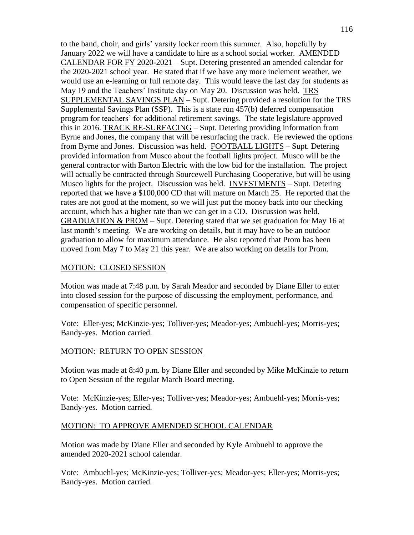to the band, choir, and girls' varsity locker room this summer. Also, hopefully by January 2022 we will have a candidate to hire as a school social worker. AMENDED CALENDAR FOR FY 2020-2021 – Supt. Detering presented an amended calendar for the 2020-2021 school year. He stated that if we have any more inclement weather, we would use an e-learning or full remote day. This would leave the last day for students as May 19 and the Teachers' Institute day on May 20. Discussion was held. TRS SUPPLEMENTAL SAVINGS PLAN – Supt. Detering provided a resolution for the TRS Supplemental Savings Plan (SSP). This is a state run 457(b) deferred compensation program for teachers' for additional retirement savings. The state legislature approved this in 2016. TRACK RE-SURFACING – Supt. Detering providing information from Byrne and Jones, the company that will be resurfacing the track. He reviewed the options from Byrne and Jones. Discussion was held. FOOTBALL LIGHTS – Supt. Detering provided information from Musco about the football lights project. Musco will be the general contractor with Barton Electric with the low bid for the installation. The project will actually be contracted through Sourcewell Purchasing Cooperative, but will be using Musco lights for the project. Discussion was held. INVESTMENTS – Supt. Detering reported that we have a \$100,000 CD that will mature on March 25. He reported that the rates are not good at the moment, so we will just put the money back into our checking account, which has a higher rate than we can get in a CD. Discussion was held. GRADUATION  $&$  PROM – Supt. Detering stated that we set graduation for May 16 at last month's meeting. We are working on details, but it may have to be an outdoor graduation to allow for maximum attendance. He also reported that Prom has been moved from May 7 to May 21 this year. We are also working on details for Prom.

#### MOTION: CLOSED SESSION

Motion was made at 7:48 p.m. by Sarah Meador and seconded by Diane Eller to enter into closed session for the purpose of discussing the employment, performance, and compensation of specific personnel.

Vote: Eller-yes; McKinzie-yes; Tolliver-yes; Meador-yes; Ambuehl-yes; Morris-yes; Bandy-yes. Motion carried.

#### MOTION: RETURN TO OPEN SESSION

Motion was made at 8:40 p.m. by Diane Eller and seconded by Mike McKinzie to return to Open Session of the regular March Board meeting.

Vote: McKinzie-yes; Eller-yes; Tolliver-yes; Meador-yes; Ambuehl-yes; Morris-yes; Bandy-yes. Motion carried.

#### MOTION: TO APPROVE AMENDED SCHOOL CALENDAR

Motion was made by Diane Eller and seconded by Kyle Ambuehl to approve the amended 2020-2021 school calendar.

Vote: Ambuehl-yes; McKinzie-yes; Tolliver-yes; Meador-yes; Eller-yes; Morris-yes; Bandy-yes. Motion carried.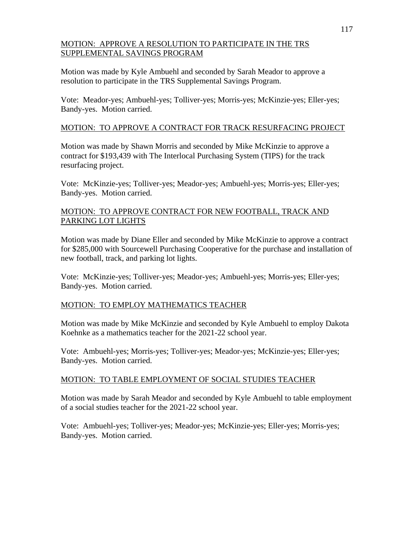### MOTION: APPROVE A RESOLUTION TO PARTICIPATE IN THE TRS SUPPLEMENTAL SAVINGS PROGRAM

Motion was made by Kyle Ambuehl and seconded by Sarah Meador to approve a resolution to participate in the TRS Supplemental Savings Program.

Vote: Meador-yes; Ambuehl-yes; Tolliver-yes; Morris-yes; McKinzie-yes; Eller-yes; Bandy-yes. Motion carried.

## MOTION: TO APPROVE A CONTRACT FOR TRACK RESURFACING PROJECT

Motion was made by Shawn Morris and seconded by Mike McKinzie to approve a contract for \$193,439 with The Interlocal Purchasing System (TIPS) for the track resurfacing project.

Vote: McKinzie-yes; Tolliver-yes; Meador-yes; Ambuehl-yes; Morris-yes; Eller-yes; Bandy-yes. Motion carried.

### MOTION: TO APPROVE CONTRACT FOR NEW FOOTBALL, TRACK AND PARKING LOT LIGHTS

Motion was made by Diane Eller and seconded by Mike McKinzie to approve a contract for \$285,000 with Sourcewell Purchasing Cooperative for the purchase and installation of new football, track, and parking lot lights.

Vote: McKinzie-yes; Tolliver-yes; Meador-yes; Ambuehl-yes; Morris-yes; Eller-yes; Bandy-yes. Motion carried.

#### MOTION: TO EMPLOY MATHEMATICS TEACHER

Motion was made by Mike McKinzie and seconded by Kyle Ambuehl to employ Dakota Koehnke as a mathematics teacher for the 2021-22 school year.

Vote: Ambuehl-yes; Morris-yes; Tolliver-yes; Meador-yes; McKinzie-yes; Eller-yes; Bandy-yes. Motion carried.

#### MOTION: TO TABLE EMPLOYMENT OF SOCIAL STUDIES TEACHER

Motion was made by Sarah Meador and seconded by Kyle Ambuehl to table employment of a social studies teacher for the 2021-22 school year.

Vote: Ambuehl-yes; Tolliver-yes; Meador-yes; McKinzie-yes; Eller-yes; Morris-yes; Bandy-yes. Motion carried.